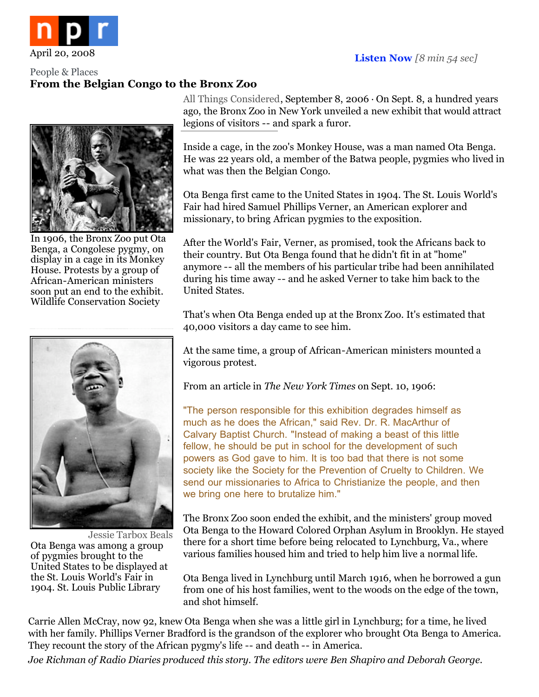



# People & Places **[From the B](http://www.npr.org/templates/topics/topic.php?topicId=1021)elgian Congo to the Bronx Zoo**



[In 1906, the Bronx Zoo put Ot](javascript:void(0);)a Benga, a Congolese pygmy, on display in a cage in its Monkey House. Protests by a group of African-American ministers soon put an end to the exhibit. Wildlife Conservation Society



[Jessie Tarbox Be](javascript:void(0);)als Ota Benga was among a group of pygmies brought to the United States to be displayed at the St. Louis World's Fair in 1904. St. Louis Public Library

All Things Considered, September 8, 2006 · On Sept. 8, a hundred years [ago, the Bro](javascript:NPR.Player.openPlayer(5787947,%205789062,%20null,%20NPR.Player.Action.ADD_TO_PLAYLIST,%20NPR.Player.Type.STORY,%20)nx Zoo in New York unveiled a new exhibit that would attract [legions of visitors -](http://www.npr.org/templates/rundowns/rundown.php?prgId=2)- and spark a furor.

Inside a cage, in the zoo's Monkey House, was a man named Ota Benga. He was 22 years old, a member of the Batwa people, pygmies who lived in what was then the Belgian Congo.

Ota Benga first came to the United States in 1904. The St. Louis World's Fair had hired Samuel Phillips Verner, an American explorer and missionary, to bring African pygmies to the exposition.

After the World's Fair, Verner, as promised, took the Africans back to their country. But Ota Benga found that he didn't fit in at "home" anymore -- all the members of his particular tribe had been annihilated during his time away -- and he asked Verner to take him back to the United States.

That's when Ota Benga ended up at the Bronx Zoo. It's estimated that 40,000 visitors a day came to see him.

At the same time, a group of African-American ministers mounted a vigorous protest.

From an article in *The New York Times* on Sept. 10, 1906:

"The person responsible for this exhibition degrades himself as much as he does the African," said Rev. Dr. R. MacArthur of Calvary Baptist Church. "Instead of making a beast of this little fellow, he should be put in school for the development of such powers as God gave to him. It is too bad that there is not some society like the Society for the Prevention of Cruelty to Children. We send our missionaries to Africa to Christianize the people, and then we bring one here to brutalize him."

The Bronx Zoo soon ended the exhibit, and the ministers' group moved Ota Benga to the Howard Colored Orphan Asylum in Brooklyn. He stayed there for a short time before being relocated to Lynchburg, Va., where various families housed him and tried to help him live a normal life.

Ota Benga lived in Lynchburg until March 1916, when he borrowed a gun from one of his host families, went to the woods on the edge of the town, and shot himself.

Carrie Allen McCray, now 92, knew Ota Benga when she was a little girl in Lynchburg; for a time, he lived with her family. Phillips Verner Bradford is the grandson of the explorer who brought Ota Benga to America. They recount the story of the African pygmy's life -- and death -- in America.

*Joe Richman of Radio Diaries produced this story. The editors were Ben Shapiro and Deborah George.*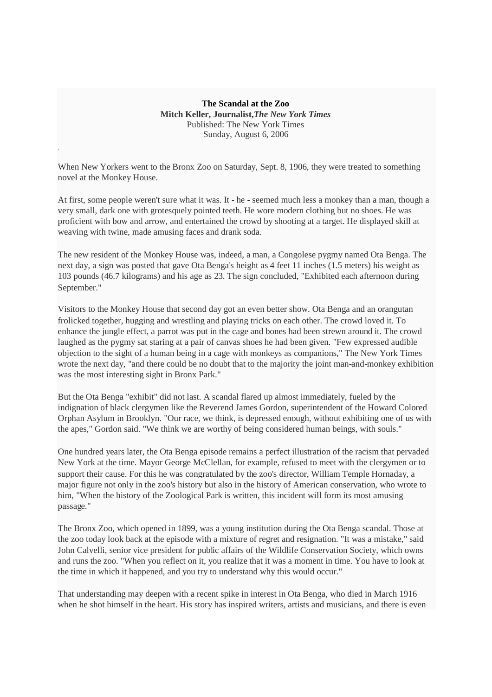### **The Scandal at the Zoo Mitch Keller, Journalist,***The New York Times* Published: The New York Times Sunday, August 6, 2006

When New Yorkers went to the Bronx Zoo on Saturday, Sept. 8, 1906, they were treated to something novel at the Monkey House.

At first, some people weren't sure what it was. It - he - seemed much less a monkey than a man, though a very small, dark one with grotesquely pointed teeth. He wore modern clothing but no shoes. He was proficient with bow and arrow, and entertained the crowd by shooting at a target. He displayed skill at weaving with twine, made amusing faces and drank soda.

The new resident of the Monkey House was, indeed, a man, a Congolese pygmy named Ota Benga. The next day, a sign was posted that gave Ota Benga's height as 4 feet 11 inches (1.5 meters) his weight as 103 pounds (46.7 kilograms) and his age as 23. The sign concluded, "Exhibited each afternoon during September."

Visitors to the Monkey House that second day got an even better show. Ota Benga and an orangutan frolicked together, hugging and wrestling and playing tricks on each other. The crowd loved it. To enhance the jungle effect, a parrot was put in the cage and bones had been strewn around it. The crowd laughed as the pygmy sat staring at a pair of canvas shoes he had been given. "Few expressed audible objection to the sight of a human being in a cage with monkeys as companions," The New York Times wrote the next day, "and there could be no doubt that to the majority the joint man-and-monkey exhibition was the most interesting sight in Bronx Park."

But the Ota Benga "exhibit" did not last. A scandal flared up almost immediately, fueled by the indignation of black clergymen like the Reverend James Gordon, superintendent of the Howard Colored Orphan Asylum in Brooklyn. "Our race, we think, is depressed enough, without exhibiting one of us with the apes," Gordon said. "We think we are worthy of being considered human beings, with souls."

One hundred years later, the Ota Benga episode remains a perfect illustration of the racism that pervaded New York at the time. Mayor George McClellan, for example, refused to meet with the clergymen or to support their cause. For this he was congratulated by the zoo's director, William Temple Hornaday, a major figure not only in the zoo's history but also in the history of American conservation, who wrote to him, "When the history of the Zoological Park is written, this incident will form its most amusing passage."

The Bronx Zoo, which opened in 1899, was a young institution during the Ota Benga scandal. Those at the zoo today look back at the episode with a mixture of regret and resignation. "It was a mistake," said John Calvelli, senior vice president for public affairs of the Wildlife Conservation Society, which owns and runs the zoo. "When you reflect on it, you realize that it was a moment in time. You have to look at the time in which it happened, and you try to understand why this would occur."

That understanding may deepen with a recent spike in interest in Ota Benga, who died in March 1916 when he shot himself in the heart. His story has inspired writers, artists and musicians, and there is even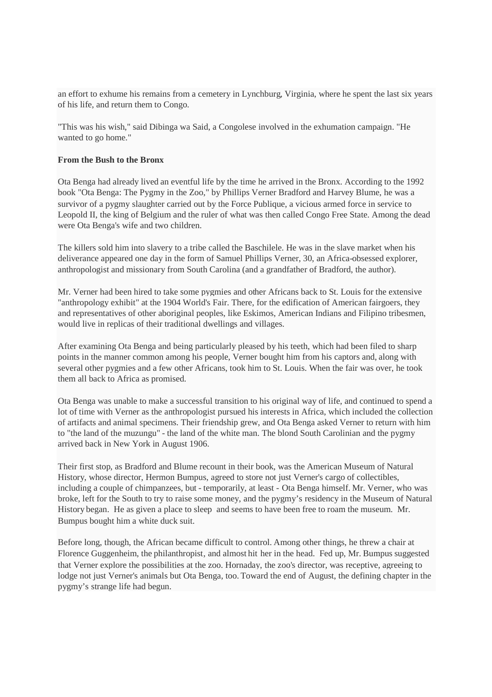an effort to exhume his remains from a cemetery in Lynchburg, Virginia, where he spent the last six years of his life, and return them to Congo.

"This was his wish," said Dibinga wa Said, a Congolese involved in the exhumation campaign. "He wanted to go home."

#### **From the Bush to the Bronx**

Ota Benga had already lived an eventful life by the time he arrived in the Bronx. According to the 1992 book "Ota Benga: The Pygmy in the Zoo," by Phillips Verner Bradford and Harvey Blume, he was a survivor of a pygmy slaughter carried out by the Force Publique, a vicious armed force in service to Leopold II, the king of Belgium and the ruler of what was then called Congo Free State. Among the dead were Ota Benga's wife and two children.

The killers sold him into slavery to a tribe called the Baschilele. He was in the slave market when his deliverance appeared one day in the form of Samuel Phillips Verner, 30, an Africa-obsessed explorer, anthropologist and missionary from South Carolina (and a grandfather of Bradford, the author).

Mr. Verner had been hired to take some pygmies and other Africans back to St. Louis for the extensive "anthropology exhibit" at the 1904 World's Fair. There, for the edification of American fairgoers, they and representatives of other aboriginal peoples, like Eskimos, American Indians and Filipino tribesmen, would live in replicas of their traditional dwellings and villages.

After examining Ota Benga and being particularly pleased by his teeth, which had been filed to sharp points in the manner common among his people, Verner bought him from his captors and, along with several other pygmies and a few other Africans, took him to St. Louis. When the fair was over, he took them all back to Africa as promised.

Ota Benga was unable to make a successful transition to his original way of life, and continued to spend a lot of time with Verner as the anthropologist pursued his interests in Africa, which included the collection of artifacts and animal specimens. Their friendship grew, and Ota Benga asked Verner to return with him to "the land of the muzungu" - the land of the white man. The blond South Carolinian and the pygmy arrived back in New York in August 1906.

Their first stop, as Bradford and Blume recount in their book, was the American Museum of Natural History, whose director, Hermon Bumpus, agreed to store not just Verner's cargo of collectibles, including a couple of chimpanzees, but - temporarily, at least - Ota Benga himself. Mr. Verner, who was broke, left for the South to try to raise some money, and the pygmy's residency in the Museum of Natural History began. He as given a place to sleep and seems to have been free to roam the museum. Mr. Bumpus bought him a white duck suit.

Before long, though, the African became difficult to control. Among other things, he threw a chair at Florence Guggenheim, the philanthropist, and almost hit her in the head. Fed up, Mr. Bumpus suggested that Verner explore the possibilities at the zoo. Hornaday, the zoo's director, was receptive, agreeing to lodge not just Verner's animals but Ota Benga, too. Toward the end of August, the defining chapter in the pygmy's strange life had begun.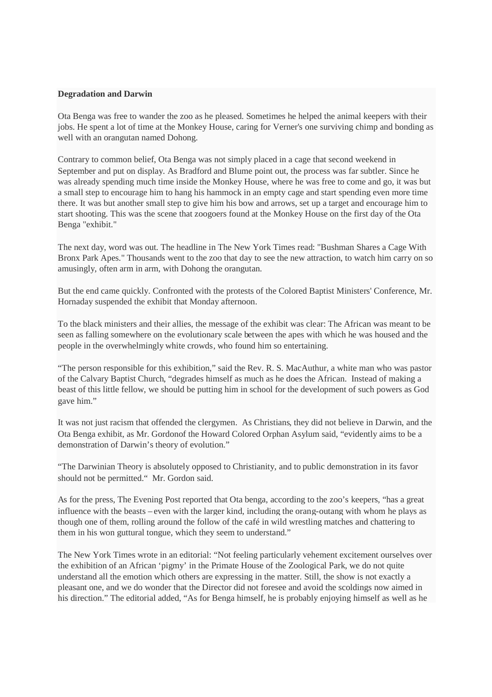#### **Degradation and Darwin**

Ota Benga was free to wander the zoo as he pleased. Sometimes he helped the animal keepers with their jobs. He spent a lot of time at the Monkey House, caring for Verner's one surviving chimp and bonding as well with an orangutan named Dohong.

Contrary to common belief, Ota Benga was not simply placed in a cage that second weekend in September and put on display. As Bradford and Blume point out, the process was far subtler. Since he was already spending much time inside the Monkey House, where he was free to come and go, it was but a small step to encourage him to hang his hammock in an empty cage and start spending even more time there. It was but another small step to give him his bow and arrows, set up a target and encourage him to start shooting. This was the scene that zoogoers found at the Monkey House on the first day of the Ota Benga "exhibit."

The next day, word was out. The headline in The New York Times read: "Bushman Shares a Cage With Bronx Park Apes." Thousands went to the zoo that day to see the new attraction, to watch him carry on so amusingly, often arm in arm, with Dohong the orangutan.

But the end came quickly. Confronted with the protests of the Colored Baptist Ministers' Conference, Mr. Hornaday suspended the exhibit that Monday afternoon.

To the black ministers and their allies, the message of the exhibit was clear: The African was meant to be seen as falling somewhere on the evolutionary scale between the apes with which he was housed and the people in the overwhelmingly white crowds, who found him so entertaining.

"The person responsible for this exhibition," said the Rev. R. S. MacAuthur, a white man who was pastor of the Calvary Baptist Church, "degrades himself as much as he does the African. Instead of making a beast of this little fellow, we should be putting him in school for the development of such powers as God gave him."

It was not just racism that offended the clergymen. As Christians, they did not believe in Darwin, and the Ota Benga exhibit, as Mr. Gordonof the Howard Colored Orphan Asylum said, "evidently aims to be a demonstration of Darwin's theory of evolution."

"The Darwinian Theory is absolutely opposed to Christianity, and to public demonstration in its favor should not be permitted." Mr. Gordon said.

As for the press, The Evening Post reported that Ota benga, according to the zoo's keepers, "has a great influence with the beasts – even with the larger kind, including the orang-outang with whom he plays as though one of them, rolling around the follow of the café in wild wrestling matches and chattering to them in his won guttural tongue, which they seem to understand."

The New York Times wrote in an editorial: "Not feeling particularly vehement excitement ourselves over the exhibition of an African 'pigmy' in the Primate House of the Zoological Park, we do not quite understand all the emotion which others are expressing in the matter. Still, the show is not exactly a pleasant one, and we do wonder that the Director did not foresee and avoid the scoldings now aimed in his direction." The editorial added, "As for Benga himself, he is probably enjoying himself as well as he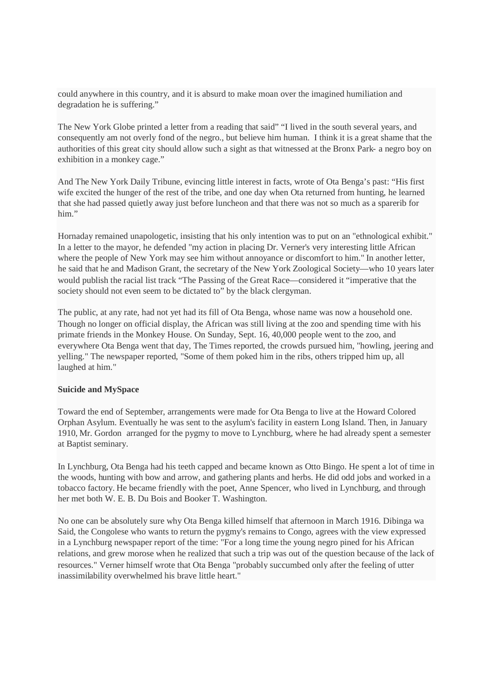could anywhere in this country, and it is absurd to make moan over the imagined humiliation and degradation he is suffering."

The New York Globe printed a letter from a reading that said" "I lived in the south several years, and consequently am not overly fond of the negro., but believe him human. I think it is a great shame that the authorities of this great city should allow such a sight as that witnessed at the Bronx Park- a negro boy on exhibition in a monkey cage."

And The New York Daily Tribune, evincing little interest in facts, wrote of Ota Benga's past: "His first wife excited the hunger of the rest of the tribe, and one day when Ota returned from hunting, he learned that she had passed quietly away just before luncheon and that there was not so much as a sparerib for him."

Hornaday remained unapologetic, insisting that his only intention was to put on an "ethnological exhibit." In a letter to the mayor, he defended "my action in placing Dr. Verner's very interesting little African where the people of New York may see him without annoyance or discomfort to him." In another letter, he said that he and Madison Grant, the secretary of the New York Zoological Society—who 10 years later would publish the racial list track "The Passing of the Great Race—considered it "imperative that the society should not even seem to be dictated to" by the black clergyman.

The public, at any rate, had not yet had its fill of Ota Benga, whose name was now a household one. Though no longer on official display, the African was still living at the zoo and spending time with his primate friends in the Monkey House. On Sunday, Sept. 16, 40,000 people went to the zoo, and everywhere Ota Benga went that day, The Times reported, the crowds pursued him, "howling, jeering and yelling." The newspaper reported, "Some of them poked him in the ribs, others tripped him up, all laughed at him."

### **Suicide and MySpace**

Toward the end of September, arrangements were made for Ota Benga to live at the Howard Colored Orphan Asylum. Eventually he was sent to the asylum's facility in eastern Long Island. Then, in January 1910, Mr. Gordon arranged for the pygmy to move to Lynchburg, where he had already spent a semester at Baptist seminary.

In Lynchburg, Ota Benga had his teeth capped and became known as Otto Bingo. He spent a lot of time in the woods, hunting with bow and arrow, and gathering plants and herbs. He did odd jobs and worked in a tobacco factory. He became friendly with the poet, Anne Spencer, who lived in Lynchburg, and through her met both W. E. B. Du Bois and Booker T. Washington.

No one can be absolutely sure why Ota Benga killed himself that afternoon in March 1916. Dibinga wa Said, the Congolese who wants to return the pygmy's remains to Congo, agrees with the view expressed in a Lynchburg newspaper report of the time: "For a long time the young negro pined for his African relations, and grew morose when he realized that such a trip was out of the question because of the lack of resources." Verner himself wrote that Ota Benga "probably succumbed only after the feeling of utter inassimilability overwhelmed his brave little heart."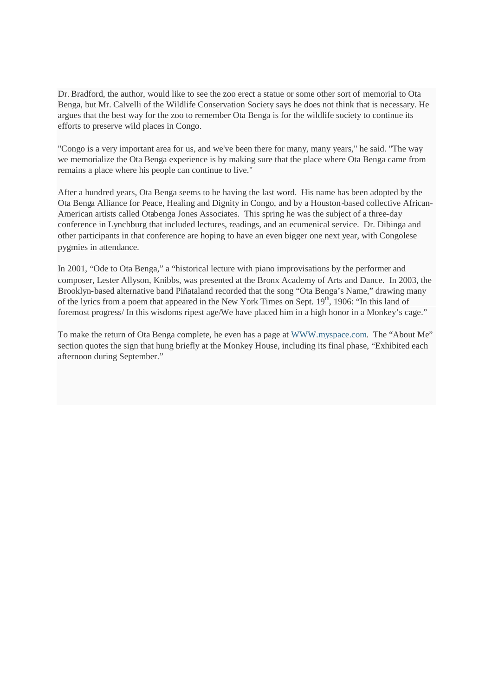Dr. Bradford, the author, would like to see the zoo erect a statue or some other sort of memorial to Ota Benga, but Mr. Calvelli of the Wildlife Conservation Society says he does not think that is necessary. He argues that the best way for the zoo to remember Ota Benga is for the wildlife society to continue its efforts to preserve wild places in Congo.

"Congo is a very important area for us, and we've been there for many, many years," he said. "The way we memorialize the Ota Benga experience is by making sure that the place where Ota Benga came from remains a place where his people can continue to live."

After a hundred years, Ota Benga seems to be having the last word. His name has been adopted by the Ota Benga Alliance for Peace, Healing and Dignity in Congo, and by a Houston-based collective African-American artists called Otabenga Jones Associates. This spring he was the subject of a three-day conference in Lynchburg that included lectures, readings, and an ecumenical service. Dr. Dibinga and other participants in that conference are hoping to have an even bigger one next year, with Congolese pygmies in attendance.

In 2001, "Ode to Ota Benga," a "historical lecture with piano improvisations by the performer and composer, Lester Allyson, Knibbs, was presented at the Bronx Academy of Arts and Dance. In 2003, the Brooklyn-based alternative band Piñataland recorded that the song "Ota Benga's Name," drawing many of the lyrics from a poem that appeared in the New York Times on Sept. 19<sup>th</sup>, 1906: "In this land of foremost progress/ In this wisdoms ripest age/We have placed him in a high honor in a Monkey's cage."

To make the return of Ota Benga complete, he even has a page at WWW.myspace.com. The "About Me" section quotes the sign that hung briefly at the Monkey House, including its final phase, "Exhibited each afternoon during September."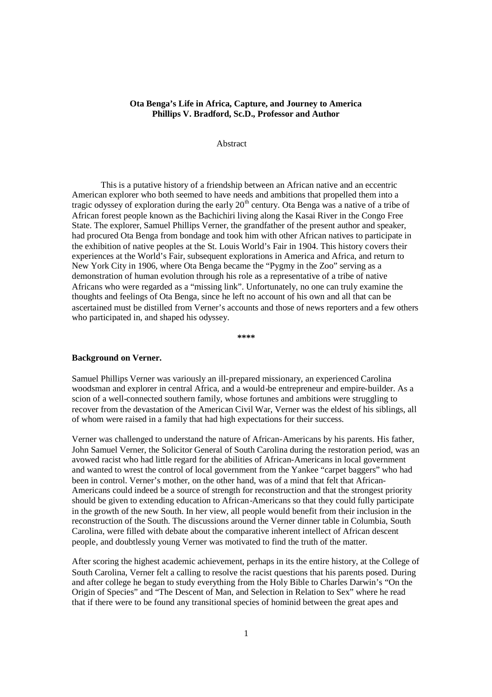#### **Ota Benga's Life in Africa, Capture, and Journey to America Phillips V. Bradford, Sc.D., Professor and Author**

Abstract

This is a putative history of a friendship between an African native and an eccentric American explorer who both seemed to have needs and ambitions that propelled them into a tragic odyssey of exploration during the early  $20<sup>th</sup>$  century. Ota Benga was a native of a tribe of African forest people known as the Bachichiri living along the Kasai River in the Congo Free State. The explorer, Samuel Phillips Verner, the grandfather of the present author and speaker, had procured Ota Benga from bondage and took him with other African natives to participate in the exhibition of native peoples at the St. Louis World's Fair in 1904. This history covers their experiences at the World's Fair, subsequent explorations in America and Africa, and return to New York City in 1906, where Ota Benga became the "Pygmy in the Zoo" serving as a demonstration of human evolution through his role as a representative of a tribe of native Africans who were regarded as a "missing link". Unfortunately, no one can truly examine the thoughts and feelings of Ota Benga, since he left no account of his own and all that can be ascertained must be distilled from Verner's accounts and those of news reporters and a few others who participated in, and shaped his odyssey.

**\*\*\*\***

#### **Background on Verner.**

Samuel Phillips Verner was variously an ill-prepared missionary, an experienced Carolina woodsman and explorer in central Africa, and a would-be entrepreneur and empire-builder. As a scion of a well-connected southern family, whose fortunes and ambitions were struggling to recover from the devastation of the American Civil War, Verner was the eldest of his siblings, all of whom were raised in a family that had high expectations for their success.

Verner was challenged to understand the nature of African-Americans by his parents. His father, John Samuel Verner, the Solicitor General of South Carolina during the restoration period, was an avowed racist who had little regard for the abilities of African-Americans in local government and wanted to wrest the control of local government from the Yankee "carpet baggers" who had been in control. Verner's mother, on the other hand, was of a mind that felt that African-Americans could indeed be a source of strength for reconstruction and that the strongest priority should be given to extending education to African-Americans so that they could fully participate in the growth of the new South. In her view, all people would benefit from their inclusion in the reconstruction of the South. The discussions around the Verner dinner table in Columbia, South Carolina, were filled with debate about the comparative inherent intellect of African descent people, and doubtlessly young Verner was motivated to find the truth of the matter.

After scoring the highest academic achievement, perhaps in its the entire history, at the College of South Carolina, Verner felt a calling to resolve the racist questions that his parents posed. During and after college he began to study everything from the Holy Bible to Charles Darwin's "On the Origin of Species" and "The Descent of Man, and Selection in Relation to Sex" where he read that if there were to be found any transitional species of hominid between the great apes and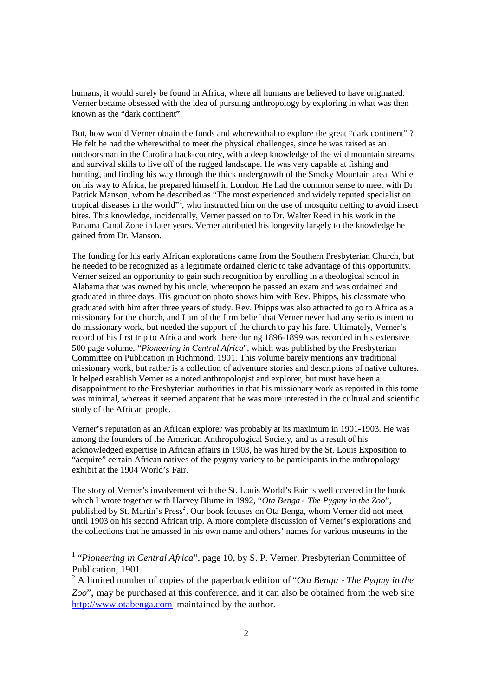humans, it would surely be found in Africa, where all humans are believed to have originated. Verner became obsessed with the idea of pursuing anthropology by exploring in what was then known as the "dark continent".

But, how would Verner obtain the funds and wherewithal to explore the great "dark continent"? He felt he had the wherewithal to meet the physical challenges, since he was raised as an outdoorsman in the Carolina back-country, with a deep knowledge of the wild mountain streams and survival skills to live off of the rugged landscape. He was very capable at fishing and hunting, and finding his way through the thick undergrowth of the Smoky Mountain area. While on his way to Africa, he prepared himself in London. He had the common sense to meet with Dr. Patrick Manson, whom he described as "The most experienced and widely reputed specialist on tropical diseases in the world"<sup>1</sup>, who instructed him on the use of mosquito netting to avoid insect bites. This knowledge, incidentally, Verner passed on to Dr. Walter Reed in his work in the Panama Canal Zone in later years. Verner attributed his longevity largely to the knowledge he gained from Dr. Manson.

The funding for his early African explorations came from the Southern Presbyterian Church, but he needed to be recognized as a legitimate ordained cleric to take advantage of this opportunity. Verner seized an opportunity to gain such recognition by enrolling in a theological school in Alabama that was owned by his uncle, whereupon he passed an exam and was ordained and graduated in three days. His graduation photo shows him with Rev. Phipps, his classmate who graduated with him after three years of study. Rev. Phipps was also attracted to go to Africa as a missionary for the church, and I am of the firm belief that Verner never had any serious intent to do missionary work, but needed the support of the church to pay his fare. Ultimately, Verner's record of his first trip to Africa and work there during 1896-1899 was recorded in his extensive 500 page volume, "*Pioneering in Central Africa*", which was published by the Presbyterian Committee on Publication in Richmond, 1901. This volume barely mentions any traditional missionary work, but rather is a collection of adventure stories and descriptions of native cultures. It helped establish Verner as a noted anthropologist and explorer, but must have been a disappointment to the Presbyterian authorities in that his missionary work as reported in this tome was minimal, whereas it seemed apparent that he was more interested in the cultural and scientific study of the African people.

Verner's reputation as an African explorer was probably at its maximum in 1901-1903. He was among the founders of the American Anthropological Society, and as a result of his acknowledged expertise in African affairs in 1903, he was hired by the St. Louis Exposition to "acquire" certain African natives of the pygmy variety to be participants in the anthropology exhibit at the 1904 World's Fair.

The story of Verner's involvement with the St. Louis World's Fair is well covered in the book which I wrote together with Harvey Blume in 1992, "*Ota Benga - The Pygmy in the Zoo*", published by St. Martin's Press<sup>2</sup>. Our book focuses on Ota Benga, whom Verner did not meet until 1903 on his second African trip. A more complete discussion of Verner's explorations and the collections that he amassed in his own name and others' names for various museums in the

<sup>&</sup>lt;sup>1</sup> "Pioneering in Central Africa", page 10, by S. P. Verner, Presbyterian Committee of Publication, 1901

<sup>2</sup> A limited number of copies of the paperback edition of "*Ota Benga - The Pygmy in the Zoo*", may be purchased at this conference, and it can also be obtained from the web site http://www.otabenga.com maintained by the author.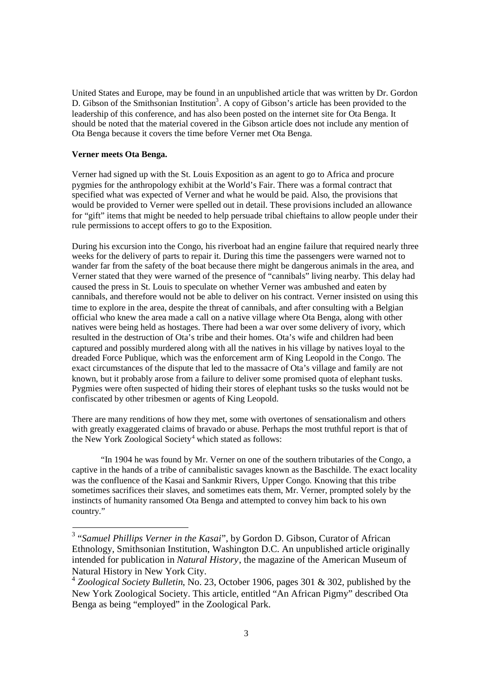United States and Europe, may be found in an unpublished article that was written by Dr. Gordon D. Gibson of the Smithsonian Institution<sup>3</sup>. A copy of Gibson's article has been provided to the leadership of this conference, and has also been posted on the internet site for Ota Benga. It should be noted that the material covered in the Gibson article does not include any mention of Ota Benga because it covers the time before Verner met Ota Benga.

#### **Verner meets Ota Benga.**

Verner had signed up with the St. Louis Exposition as an agent to go to Africa and procure pygmies for the anthropology exhibit at the World's Fair. There was a formal contract that specified what was expected of Verner and what he would be paid. Also, the provisions that would be provided to Verner were spelled out in detail. These provisions included an allowance for "gift" items that might be needed to help persuade tribal chieftains to allow people under their rule permissions to accept offers to go to the Exposition.

During his excursion into the Congo, his riverboat had an engine failure that required nearly three weeks for the delivery of parts to repair it. During this time the passengers were warned not to wander far from the safety of the boat because there might be dangerous animals in the area, and Verner stated that they were warned of the presence of "cannibals" living nearby. This delay had caused the press in St. Louis to speculate on whether Verner was ambushed and eaten by cannibals, and therefore would not be able to deliver on his contract. Verner insisted on using this time to explore in the area, despite the threat of cannibals, and after consulting with a Belgian official who knew the area made a call on a native village where Ota Benga, along with other natives were being held as hostages. There had been a war over some delivery of ivory, which resulted in the destruction of Ota's tribe and their homes. Ota's wife and children had been captured and possibly murdered along with all the natives in his village by natives loyal to the dreaded Force Publique, which was the enforcement arm of King Leopold in the Congo. The exact circumstances of the dispute that led to the massacre of Ota's village and family are not known, but it probably arose from a failure to deliver some promised quota of elephant tusks. Pygmies were often suspected of hiding their stores of elephant tusks so the tusks would not be confiscated by other tribesmen or agents of King Leopold.

There are many renditions of how they met, some with overtones of sensationalism and others with greatly exaggerated claims of bravado or abuse. Perhaps the most truthful report is that of the New York Zoological Society<sup>4</sup> which stated as follows:

"In 1904 he was found by Mr. Verner on one of the southern tributaries of the Congo, a captive in the hands of a tribe of cannibalistic savages known as the Baschilde. The exact locality was the confluence of the Kasai and Sankmir Rivers, Upper Congo. Knowing that this tribe sometimes sacrifices their slaves, and sometimes eats them, Mr. Verner, prompted solely by the instincts of humanity ransomed Ota Benga and attempted to convey him back to his own country."

<sup>&</sup>lt;sup>3</sup> "Samuel Phillips Verner in the Kasai", by Gordon D. Gibson, Curator of African Ethnology, Smithsonian Institution, Washington D.C. An unpublished article originally intended for publication in *Natural History*, the magazine of the American Museum of Natural History in New York City.

<sup>4</sup> *Zoological Society Bulletin*, No. 23, October 1906, pages 301 & 302, published by the New York Zoological Society. This article, entitled "An African Pigmy" described Ota Benga as being "employed" in the Zoological Park.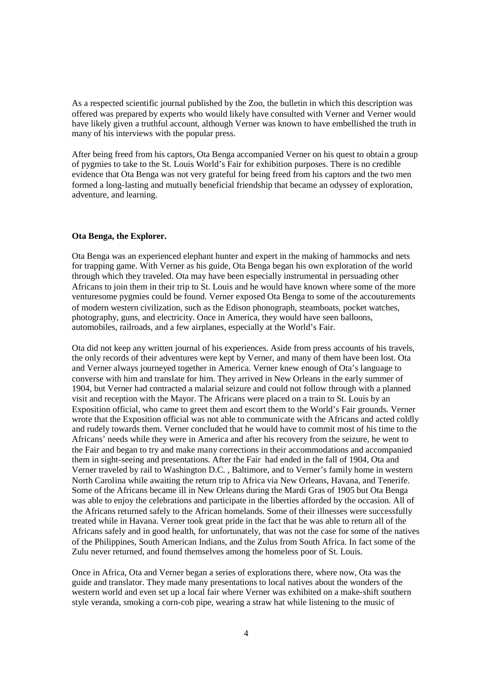As a respected scientific journal published by the Zoo, the bulletin in which this description was offered was prepared by experts who would likely have consulted with Verner and Verner would have likely given a truthful account, although Verner was known to have embellished the truth in many of his interviews with the popular press.

After being freed from his captors, Ota Benga accompanied Verner on his quest to obtain a group of pygmies to take to the St. Louis World's Fair for exhibition purposes. There is no credible evidence that Ota Benga was not very grateful for being freed from his captors and the two men formed a long-lasting and mutually beneficial friendship that became an odyssey of exploration, adventure, and learning.

#### **Ota Benga, the Explorer.**

Ota Benga was an experienced elephant hunter and expert in the making of hammocks and nets for trapping game. With Verner as his guide, Ota Benga began his own exploration of the world through which they traveled. Ota may have been especially instrumental in persuading other Africans to join them in their trip to St. Louis and he would have known where some of the more venturesome pygmies could be found. Verner exposed Ota Benga to some of the accouturements of modern western civilization, such as the Edison phonograph, steamboats, pocket watches, photography, guns, and electricity. Once in America, they would have seen balloons, automobiles, railroads, and a few airplanes, especially at the World's Fair.

Ota did not keep any written journal of his experiences. Aside from press accounts of his travels, the only records of their adventures were kept by Verner, and many of them have been lost. Ota and Verner always journeyed together in America. Verner knew enough of Ota's language to converse with him and translate for him. They arrived in New Orleans in the early summer of 1904, but Verner had contracted a malarial seizure and could not follow through with a planned visit and reception with the Mayor. The Africans were placed on a train to St. Louis by an Exposition official, who came to greet them and escort them to the World's Fair grounds. Verner wrote that the Exposition official was not able to communicate with the Africans and acted coldly and rudely towards them. Verner concluded that he would have to commit most of his time to the Africans' needs while they were in America and after his recovery from the seizure, he went to the Fair and began to try and make many corrections in their accommodations and accompanied them in sight-seeing and presentations. After the Fair had ended in the fall of 1904, Ota and Verner traveled by rail to Washington D.C. , Baltimore, and to Verner's family home in western North Carolina while awaiting the return trip to Africa via New Orleans, Havana, and Tenerife. Some of the Africans became ill in New Orleans during the Mardi Gras of 1905 but Ota Benga was able to enjoy the celebrations and participate in the liberties afforded by the occasion. All of the Africans returned safely to the African homelands. Some of their illnesses were successfully treated while in Havana. Verner took great pride in the fact that he was able to return all of the Africans safely and in good health, for unfortunately, that was not the case for some of the natives of the Philippines, South American Indians, and the Zulus from South Africa. In fact some of the Zulu never returned, and found themselves among the homeless poor of St. Louis.

Once in Africa, Ota and Verner began a series of explorations there, where now, Ota was the guide and translator. They made many presentations to local natives about the wonders of the western world and even set up a local fair where Verner was exhibited on a make-shift southern style veranda, smoking a corn-cob pipe, wearing a straw hat while listening to the music of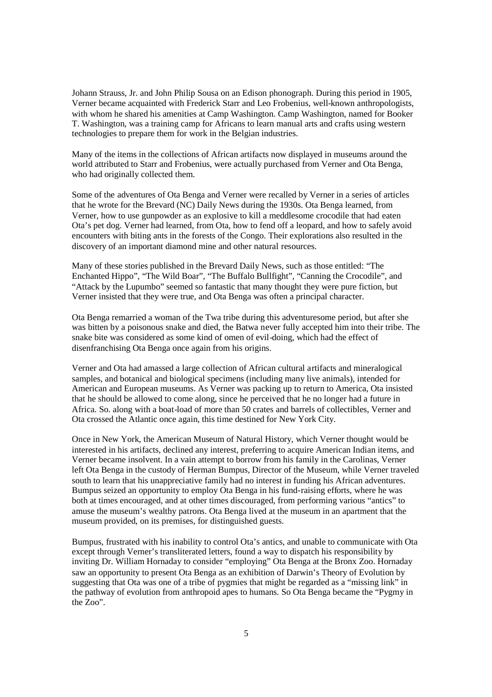Johann Strauss, Jr. and John Philip Sousa on an Edison phonograph. During this period in 1905, Verner became acquainted with Frederick Starr and Leo Frobenius, well-known anthropologists, with whom he shared his amenities at Camp Washington. Camp Washington, named for Booker T. Washington, was a training camp for Africans to learn manual arts and crafts using western technologies to prepare them for work in the Belgian industries.

Many of the items in the collections of African artifacts now displayed in museums around the world attributed to Starr and Frobenius, were actually purchased from Verner and Ota Benga, who had originally collected them.

Some of the adventures of Ota Benga and Verner were recalled by Verner in a series of articles that he wrote for the Brevard (NC) Daily News during the 1930s. Ota Benga learned, from Verner, how to use gunpowder as an explosive to kill a meddlesome crocodile that had eaten Ota's pet dog. Verner had learned, from Ota, how to fend off a leopard, and how to safely avoid encounters with biting ants in the forests of the Congo. Their explorations also resulted in the discovery of an important diamond mine and other natural resources.

Many of these stories published in the Brevard Daily News, such as those entitled: "The Enchanted Hippo", "The Wild Boar", "The Buffalo Bullfight", "Canning the Crocodile", and "Attack by the Lupumbo" seemed so fantastic that many thought they were pure fiction, but Verner insisted that they were true, and Ota Benga was often a principal character.

Ota Benga remarried a woman of the Twa tribe during this adventuresome period, but after she was bitten by a poisonous snake and died, the Batwa never fully accepted him into their tribe. The snake bite was considered as some kind of omen of evil-doing, which had the effect of disenfranchising Ota Benga once again from his origins.

Verner and Ota had amassed a large collection of African cultural artifacts and mineralogical samples, and botanical and biological specimens (including many live animals), intended for American and European museums. As Verner was packing up to return to America, Ota insisted that he should be allowed to come along, since he perceived that he no longer had a future in Africa. So. along with a boat-load of more than 50 crates and barrels of collectibles, Verner and Ota crossed the Atlantic once again, this time destined for New York City.

Once in New York, the American Museum of Natural History, which Verner thought would be interested in his artifacts, declined any interest, preferring to acquire American Indian items, and Verner became insolvent. In a vain attempt to borrow from his family in the Carolinas, Verner left Ota Benga in the custody of Herman Bumpus, Director of the Museum, while Verner traveled south to learn that his unappreciative family had no interest in funding his African adventures. Bumpus seized an opportunity to employ Ota Benga in his fund-raising efforts, where he was both at times encouraged, and at other times discouraged, from performing various "antics" to amuse the museum's wealthy patrons. Ota Benga lived at the museum in an apartment that the museum provided, on its premises, for distinguished guests.

Bumpus, frustrated with his inability to control Ota's antics, and unable to communicate with Ota except through Verner's transliterated letters, found a way to dispatch his responsibility by inviting Dr. William Hornaday to consider "employing" Ota Benga at the Bronx Zoo. Hornaday saw an opportunity to present Ota Benga as an exhibition of Darwin's Theory of Evolution by suggesting that Ota was one of a tribe of pygmies that might be regarded as a "missing link" in the pathway of evolution from anthropoid apes to humans. So Ota Benga became the "Pygmy in the Zoo".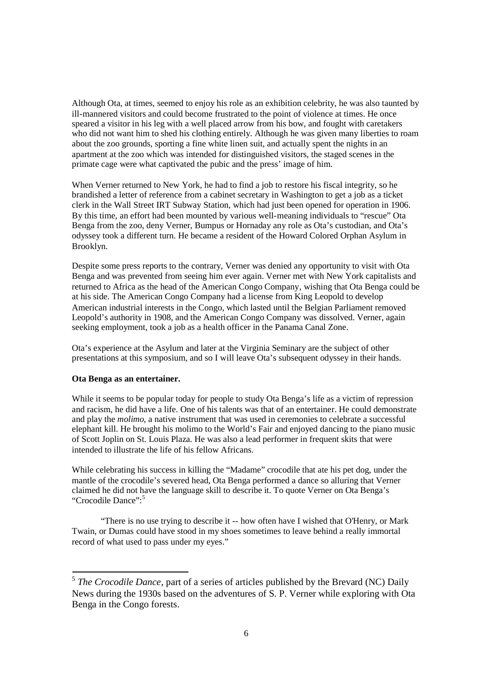Although Ota, at times, seemed to enjoy his role as an exhibition celebrity, he was also taunted by ill-mannered visitors and could become frustrated to the point of violence at times. He once speared a visitor in his leg with a well placed arrow from his bow, and fought with caretakers who did not want him to shed his clothing entirely. Although he was given many liberties to roam about the zoo grounds, sporting a fine white linen suit, and actually spent the nights in an apartment at the zoo which was intended for distinguished visitors, the staged scenes in the primate cage were what captivated the pubic and the press' image of him.

When Verner returned to New York, he had to find a job to restore his fiscal integrity, so he brandished a letter of reference from a cabinet secretary in Washington to get a job as a ticket clerk in the Wall Street IRT Subway Station, which had just been opened for operation in 1906. By this time, an effort had been mounted by various well-meaning individuals to "rescue" Ota Benga from the zoo, deny Verner, Bumpus or Hornaday any role as Ota's custodian, and Ota's odyssey took a different turn. He became a resident of the Howard Colored Orphan Asylum in Brooklyn.

Despite some press reports to the contrary, Verner was denied any opportunity to visit with Ota Benga and was prevented from seeing him ever again. Verner met with New York capitalists and returned to Africa as the head of the American Congo Company, wishing that Ota Benga could be at his side. The American Congo Company had a license from King Leopold to develop American industrial interests in the Congo, which lasted until the Belgian Parliament removed Leopold's authority in 1908, and the American Congo Company was dissolved. Verner, again seeking employment, took a job as a health officer in the Panama Canal Zone.

Ota's experience at the Asylum and later at the Virginia Seminary are the subject of other presentations at this symposium, and so I will leave Ota's subsequent odyssey in their hands.

#### **Ota Benga as an entertainer.**

While it seems to be popular today for people to study Ota Benga's life as a victim of repression and racism, he did have a life. One of his talents was that of an entertainer. He could demonstrate and play the *molimo*, a native instrument that was used in ceremonies to celebrate a successful elephant kill. He brought his molimo to the World's Fair and enjoyed dancing to the piano music of Scott Joplin on St. Louis Plaza. He was also a lead performer in frequent skits that were intended to illustrate the life of his fellow Africans.

While celebrating his success in killing the "Madame" crocodile that ate his pet dog, under the mantle of the crocodile's severed head, Ota Benga performed a dance so alluring that Verner claimed he did not have the language skill to describe it. To quote Verner on Ota Benga's "Crocodile Dance":<sup>5</sup>

"There is no use trying to describe it -- how often have I wished that O'Henry, or Mark Twain, or Dumas could have stood in my shoes sometimes to leave behind a really immortal record of what used to pass under my eyes."

<sup>&</sup>lt;sup>5</sup> The Crocodile Dance, part of a series of articles published by the Brevard (NC) Daily News during the 1930s based on the adventures of S. P. Verner while exploring with Ota Benga in the Congo forests.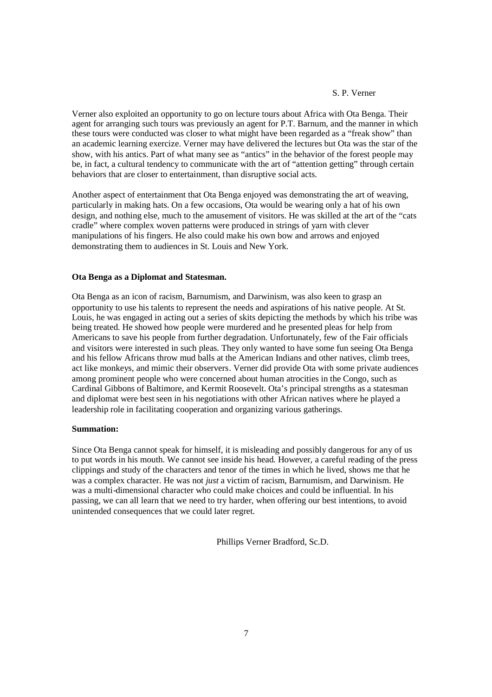#### S. P. Verner

Verner also exploited an opportunity to go on lecture tours about Africa with Ota Benga. Their agent for arranging such tours was previously an agent for P.T. Barnum, and the manner in which these tours were conducted was closer to what might have been regarded as a "freak show" than an academic learning exercize. Verner may have delivered the lectures but Ota was the star of the show, with his antics. Part of what many see as "antics" in the behavior of the forest people may be, in fact, a cultural tendency to communicate with the art of "attention getting" through certain behaviors that are closer to entertainment, than disruptive social acts.

Another aspect of entertainment that Ota Benga enjoyed was demonstrating the art of weaving, particularly in making hats. On a few occasions, Ota would be wearing only a hat of his own design, and nothing else, much to the amusement of visitors. He was skilled at the art of the "cats cradle" where complex woven patterns were produced in strings of yarn with clever manipulations of his fingers. He also could make his own bow and arrows and enjoyed demonstrating them to audiences in St. Louis and New York.

#### **Ota Benga as a Diplomat and Statesman.**

Ota Benga as an icon of racism, Barnumism, and Darwinism, was also keen to grasp an opportunity to use his talents to represent the needs and aspirations of his native people. At St. Louis, he was engaged in acting out a series of skits depicting the methods by which his tribe was being treated. He showed how people were murdered and he presented pleas for help from Americans to save his people from further degradation. Unfortunately, few of the Fair officials and visitors were interested in such pleas. They only wanted to have some fun seeing Ota Benga and his fellow Africans throw mud balls at the American Indians and other natives, climb trees, act like monkeys, and mimic their observers. Verner did provide Ota with some private audiences among prominent people who were concerned about human atrocities in the Congo, such as Cardinal Gibbons of Baltimore, and Kermit Roosevelt. Ota's principal strengths as a statesman and diplomat were best seen in his negotiations with other African natives where he played a leadership role in facilitating cooperation and organizing various gatherings.

#### **Summation:**

Since Ota Benga cannot speak for himself, it is misleading and possibly dangerous for any of us to put words in his mouth. We cannot see inside his head. However, a careful reading of the press clippings and study of the characters and tenor of the times in which he lived, shows me that he was a complex character. He was not *just* a victim of racism, Barnumism, and Darwinism. He was a multi-dimensional character who could make choices and could be influential. In his passing, we can all learn that we need to try harder, when offering our best intentions, to avoid unintended consequences that we could later regret.

Phillips Verner Bradford, Sc.D.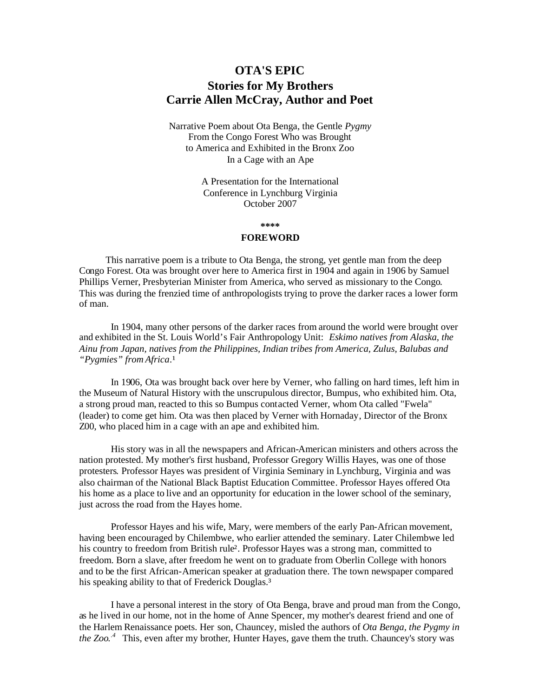# **OTA'S EPIC Stories for My Brothers Carrie Allen McCray, Author and Poet**

Narrative Poem about Ota Benga, the Gentle *Pygmy* From the Congo Forest Who was Brought to America and Exhibited in the Bronx Zoo In a Cage with an Ape

> A Presentation for the International Conference in Lynchburg Virginia October 2007

> > **\*\*\*\***

#### **FOREWORD**

This narrative poem is a tribute to Ota Benga, the strong, yet gentle man from the deep Congo Forest. Ota was brought over here to America first in 1904 and again in 1906 by Samuel Phillips Verner, Presbyterian Minister from America, who served as missionary to the Congo. This was during the frenzied time of anthropologists trying to prove the darker races a lower form of man.

In 1904, many other persons of the darker races from around the world were brought over and exhibited in the St. Louis World's Fair Anthropology Unit: *Eskimo natives from Alaska, the Ainu from Japan, natives from the Philippines, Indian tribes from America, Zulus, Balubas and "Pygmies" from Africa.*¹

In 1906, Ota was brought back over here by Verner, who falling on hard times, left him in the Museum of Natural History with the unscrupulous director, Bumpus, who exhibited him. Ota, a strong proud man, reacted to this so Bumpus contacted Verner, whom Ota called "Fwela" (leader) to come get him. Ota was then placed by Verner with Hornaday, Director of the Bronx Z00, who placed him in a cage with an ape and exhibited him.

His story was in all the newspapers and African-American ministers and others across the nation protested. My mother's first husband, Professor Gregory Willis Hayes, was one of those protesters. Professor Hayes was president of Virginia Seminary in Lynchburg, Virginia and was also chairman of the National Black Baptist Education Committee. Professor Hayes offered Ota his home as a place to live and an opportunity for education in the lower school of the seminary, just across the road from the Hayes home.

Professor Hayes and his wife, Mary, were members of the early Pan-African movement, having been encouraged by Chilembwe, who earlier attended the seminary. Later Chilembwe led his country to freedom from British rule<sup>2</sup>. Professor Hayes was a strong man, committed to freedom. Born a slave, after freedom he went on to graduate from Oberlin College with honors and to be the first African-American speaker at graduation there. The town newspaper compared his speaking ability to that of Frederick Douglas.<sup>3</sup>

I have a personal interest in the story of Ota Benga, brave and proud man from the Congo, as he lived in our home, not in the home of Anne Spencer, my mother's dearest friend and one of the Harlem Renaissance poets. Her son, Chauncey, misled the authors of *Ota Benga, the Pygmy in the Zoo. .4* This, even after my brother, Hunter Hayes, gave them the truth. Chauncey's story was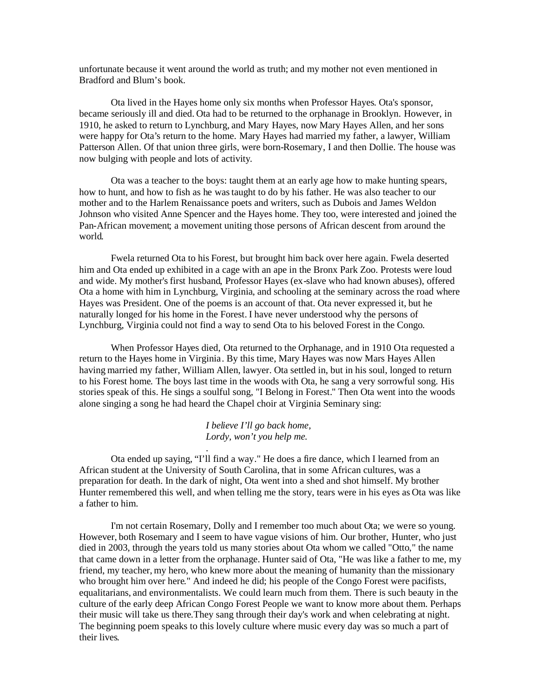unfortunate because it went around the world as truth; and my mother not even mentioned in Bradford and Blum's book.

Ota lived in the Hayes home only six months when Professor Hayes. Ota's sponsor, became seriously ill and died. Ota had to be returned to the orphanage in Brooklyn. However, in 1910, he asked to return to Lynchburg, and Mary Hayes, now Mary Hayes Allen, and her sons were happy for Ota's return to the home. Mary Hayes had married my father, a lawyer, William Patterson Allen. Of that union three girls, were born-Rosemary, I and then Dollie. The house was now bulging with people and lots of activity.

Ota was a teacher to the boys: taught them at an early age how to make hunting spears, how to hunt, and how to fish as he wastaught to do by his father. He was also teacher to our mother and to the Harlem Renaissance poets and writers, such as Dubois and James Weldon Johnson who visited Anne Spencer and the Hayes home. They too, were interested and joined the Pan-African movement; a movement uniting those persons of African descent from around the world.

Fwela returned Ota to his Forest, but brought him back over here again. Fwela deserted him and Ota ended up exhibited in a cage with an ape in the Bronx Park Zoo. Protests were loud and wide. My mother's first husband, Professor Hayes (ex-slave who had known abuses), offered Ota a home with him in Lynchburg, Virginia, and schooling at the seminary across the road where Hayes was President. One of the poems is an account of that. Ota never expressed it, but he naturally longed for his home in the Forest. I have never understood why the persons of Lynchburg, Virginia could not find a way to send Ota to his beloved Forest in the Congo.

When Professor Hayes died, Ota returned to the Orphanage, and in 1910 Ota requested a return to the Hayes home in Virginia. By this time, Mary Hayes was now Mars Hayes Allen having married my father, William Allen, lawyer. Ota settled in, but in his soul, longed to return to his Forest home. The boys last time in the woods with Ota, he sang a very sorrowful song. His stories speak of this. He sings a soulful song, "I Belong in Forest." Then Ota went into the woods alone singing a song he had heard the Chapel choir at Virginia Seminary sing:

> *I believe I'll go back home, Lordy, won't you help me.*

.

Ota ended up saying, "I'll find a way." He does a fire dance, which I learned from an African student at the University of South Carolina, that in some African cultures, was a preparation for death. In the dark of night, Ota went into a shed and shot himself. My brother Hunter remembered this well, and when telling me the story, tears were in his eyes as Ota was like a father to him.

I'm not certain Rosemary, Dolly and I remember too much about Ota; we were so young. However, both Rosemary and I seem to have vague visions of him. Our brother, Hunter, who just died in 2003, through the years told us many stories about Ota whom we called "Otto," the name that came down in a letter from the orphanage. Hunter said of Ota, "He was like a father to me, my friend, my teacher, my hero, who knew more about the meaning of humanity than the missionary who brought him over here." And indeed he did; his people of the Congo Forest were pacifists, equalitarians, and environmentalists. We could learn much from them. There is such beauty in the culture of the early deep African Congo Forest People we want to know more about them. Perhaps their music will take us there.They sang through their day's work and when celebrating at night. The beginning poem speaks to this lovely culture where music every day was so much a part of their lives.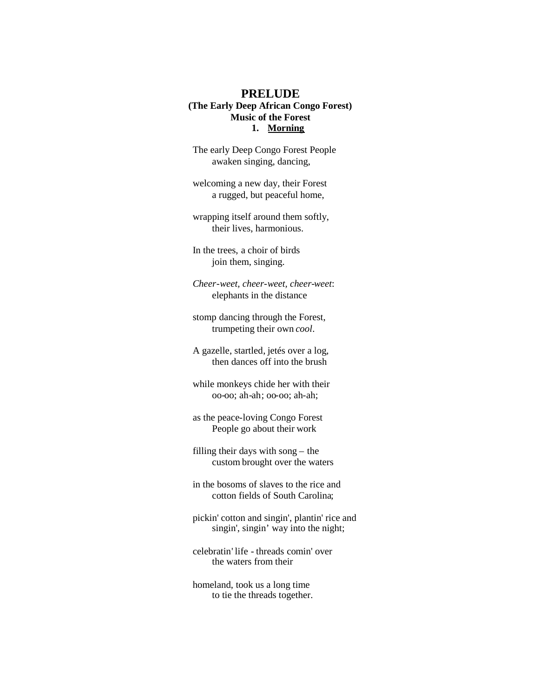### **PRELUDE (The Early Deep African Congo Forest) Music of the Forest 1. Morning**

The early Deep Congo Forest People awaken singing, dancing,

welcoming a new day, their Forest a rugged, but peaceful home,

wrapping itself around them softly, their lives, harmonious.

In the trees, a choir of birds join them, singing.

*Cheer-weet, cheer-weet, cheer-weet*: elephants in the distance

stomp dancing through the Forest, trumpeting their own *cool*.

A gazelle, startled, jetés over a log, then dances off into the brush

while monkeys chide her with their oo-oo; ah-ah; oo-oo; ah-ah;

as the peace-loving Congo Forest People go about their work

filling their days with song – the custom brought over the waters

in the bosoms of slaves to the rice and cotton fields of South Carolina;

pickin' cotton and singin', plantin' rice and singin', singin' way into the night;

celebratin' life - threads comin' over the waters from their

homeland, took us a long time to tie the threads together.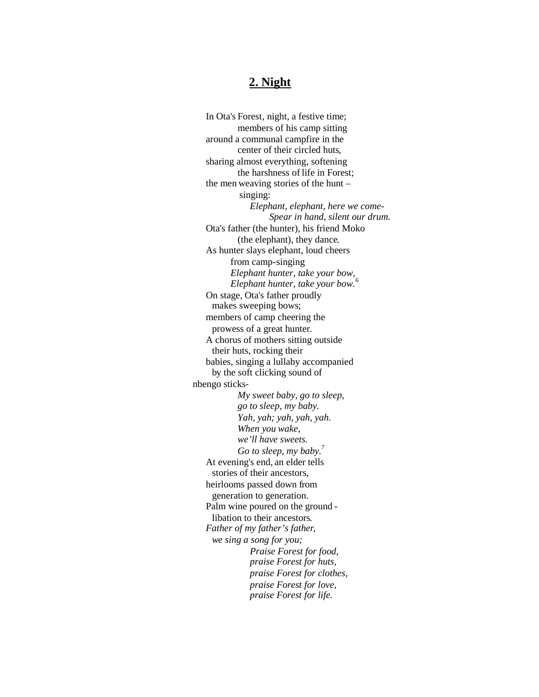## **2. Night**

In Ota's Forest, night, a festive time; members of his camp sitting around a communal campfire in the center of their circled huts, sharing almost everything, softening the harshness of life in Forest; the men weaving stories of the hunt – singing: *Elephant, elephant, here we come-Spear in hand, silent our drum.* Ota's father (the hunter), his friend Moko (the elephant), they dance. As hunter slays elephant, loud cheers from camp-singing *Elephant hunter, take your bow, Elephant hunter, take your bow.<sup>6</sup>* On stage, Ota's father proudly makes sweeping bows; members of camp cheering the prowess of a great hunter. A chorus of mothers sitting outside their huts, rocking their babies, singing a lullaby accompanied by the soft clicking sound of nbengo sticks-*My sweet baby, go to sleep, go to sleep, my baby. Yah, yah; yah, yah, yah. When you wake, we'll have sweets. Go to sleep, my baby.<sup>7</sup>* At evening's end, an elder tells stories of their ancestors, heirlooms passed down from generation to generation. Palm wine poured on the ground libation to their ancestors. *Father of my father's father, we sing a song for you; Praise Forest for food, praise Forest for huts, praise Forest for clothes, praise Forest for love, praise Forest for life.*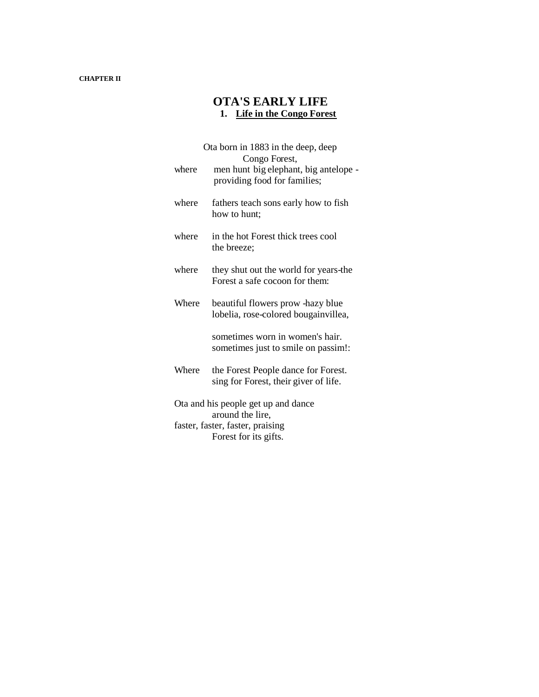### **CHAPTER II**

## **OTA'S EARLY LIFE 1. Life in the Congo Forest**

| where                               | Ota born in 1883 in the deep, deep<br>Congo Forest,<br>men hunt big elephant, big antelope -<br>providing food for families; |  |
|-------------------------------------|------------------------------------------------------------------------------------------------------------------------------|--|
| where                               | fathers teach sons early how to fish<br>how to hunt;                                                                         |  |
| where                               | in the hot Forest thick trees cool<br>the breeze:                                                                            |  |
| where                               | they shut out the world for years-the<br>Forest a safe cocoon for them:                                                      |  |
| Where                               | beautiful flowers prow -hazy blue<br>lobelia, rose-colored bougainvillea,                                                    |  |
|                                     | sometimes worn in women's hair.<br>sometimes just to smile on passim!:                                                       |  |
| Where                               | the Forest People dance for Forest.<br>sing for Forest, their giver of life.                                                 |  |
| Ota and his people get up and dance |                                                                                                                              |  |
| around the lire,                    |                                                                                                                              |  |
| faster, faster, faster, praising    |                                                                                                                              |  |
|                                     | Forest for its gifts.                                                                                                        |  |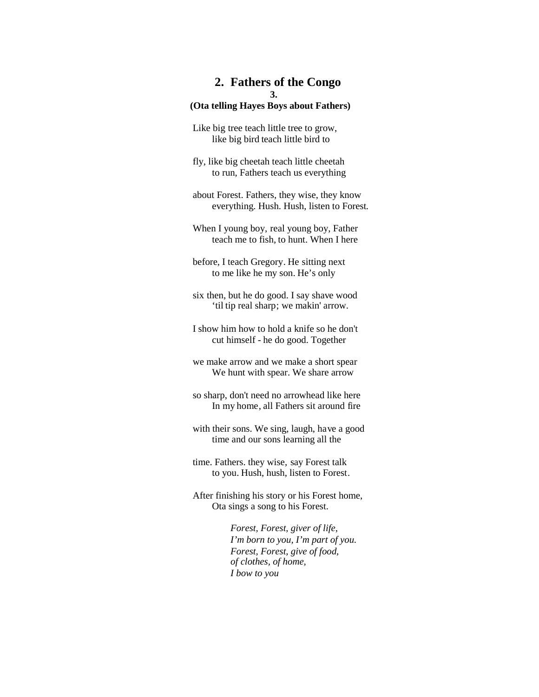#### **2. Fathers of the Congo 3.**

#### **(Ota telling Hayes Boys about Fathers)**

- Like big tree teach little tree to grow, like big bird teach little bird to
- fly, like big cheetah teach little cheetah to run, Fathers teach us everything
- about Forest. Fathers, they wise, they know everything. Hush. Hush, listen to Forest.
- When I young boy, real young boy, Father teach me to fish, to hunt. When I here
- before, I teach Gregory. He sitting next to me like he my son. He's only
- six then, but he do good. I say shave wood 'til tip real sharp; we makin' arrow.
- I show him how to hold a knife so he don't cut himself - he do good. Together
- we make arrow and we make a short spear We hunt with spear. We share arrow
- so sharp, don't need no arrowhead like here In my home, all Fathers sit around fire
- with their sons. We sing, laugh, have a good time and our sons learning all the
- time. Fathers. they wise, say Forest talk to you. Hush, hush, listen to Forest.
- After finishing his story or his Forest home, Ota sings a song to his Forest.
	- *Forest, Forest, giver of life, I'm born to you, I'm part of you. Forest, Forest, give of food, of clothes, of home, I bow to you*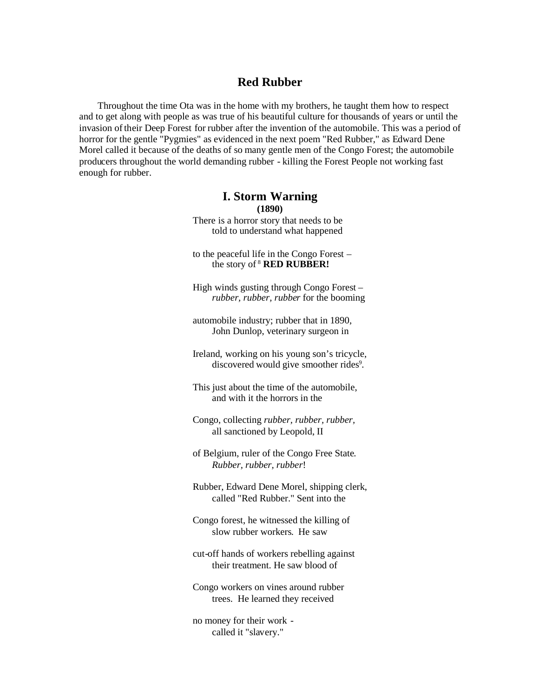### **Red Rubber**

Throughout the time Ota was in the home with my brothers, he taught them how to respect and to get along with people as was true of his beautiful culture for thousands of years or until the invasion oftheir Deep Forest for rubber after the invention of the automobile. This was a period of horror for the gentle "Pygmies" as evidenced in the next poem "Red Rubber," as Edward Dene Morel called it because of the deaths of so many gentle men of the Congo Forest; the automobile producers throughout the world demanding rubber - killing the Forest People not working fast enough for rubber.

#### **I. Storm Warning (1890)**

There is a horror story that needs to be told to understand what happened

to the peaceful life in the Congo Forest – the story of <sup>8</sup> **RED RUBBER!**

High winds gusting through Congo Forest – *rubber, rubber, rubber* for the booming

automobile industry; rubber that in 1890, John Dunlop, veterinary surgeon in

Ireland, working on his young son's tricycle, discovered would give smoother rides<sup>9</sup>.

This just about the time of the automobile, and with it the horrors in the

Congo, collecting *rubber, rubber, rubber,* all sanctioned by Leopold, II

of Belgium, ruler of the Congo Free State. *Rubber, rubber, rubber*!

Rubber, Edward Dene Morel, shipping clerk, called "Red Rubber." Sent into the

Congo forest, he witnessed the killing of slow rubber workers. He saw

cut-off hands of workers rebelling against their treatment. He saw blood of

Congo workers on vines around rubber trees. He learned they received

no money for their work called it "slavery."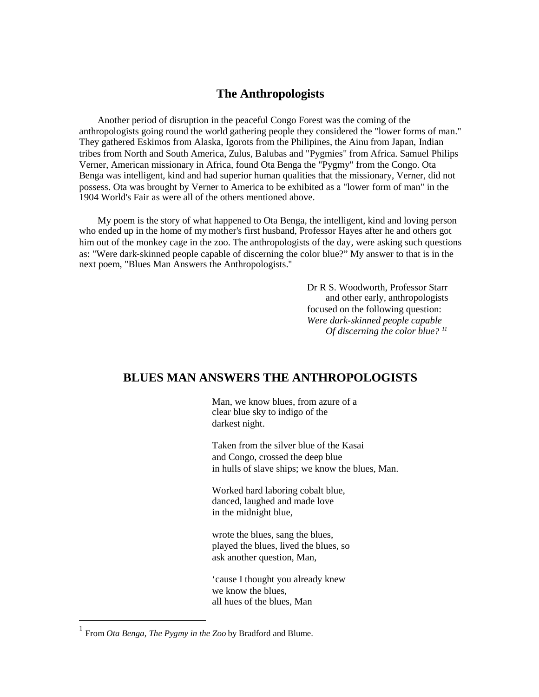### **The Anthropologists**

Another period of disruption in the peaceful Congo Forest was the coming of the anthropologists going round the world gathering people they considered the "lower forms of man." They gathered Eskimos from Alaska, Igorots from the Philipines, the Ainu from Japan, Indian tribes from North and South America, Zulus, Balubas and "Pygmies" from Africa. Samuel Philips Verner, American missionary in Africa, found Ota Benga the "Pygmy" from the Congo. Ota Benga was intelligent, kind and had superior human qualities that the missionary, Verner, did not possess. Ota was brought by Verner to America to be exhibited as a "lower form of man" in the 1904 World's Fair as were all of the others mentioned above.

My poem is the story of what happened to Ota Benga, the intelligent, kind and loving person who ended up in the home of my mother's first husband, Professor Hayes after he and others got him out of the monkey cage in the zoo. The anthropologists of the day, were asking such questions as: "Were dark-skinned people capable of discerning the color blue?" My answer to that is in the next poem, "Blues Man Answers the Anthropologists.''

> Dr R S. Woodworth, Professor Starr and other early, anthropologists focused on the following question: *Were dark-skinned people capable Of discerning the color blue? 1[1](#page-20-0)*

### **BLUES MAN ANSWERS THE ANTHROPOLOGISTS**

Man, we know blues, from azure of a clear blue sky to indigo of the darkest night.

Taken from the silver blue of the Kasai and Congo, crossed the deep blue in hulls of slave ships; we know the blues, Man.

Worked hard laboring cobalt blue, danced, laughed and made love in the midnight blue,

wrote the blues, sang the blues, played the blues, lived the blues, so ask another question, Man,

'cause I thought you already knew we know the blues, all hues of the blues, Man

<span id="page-20-0"></span><sup>1</sup> From *Ota Benga, The Pygmy in the Zoo* by Bradford and Blume.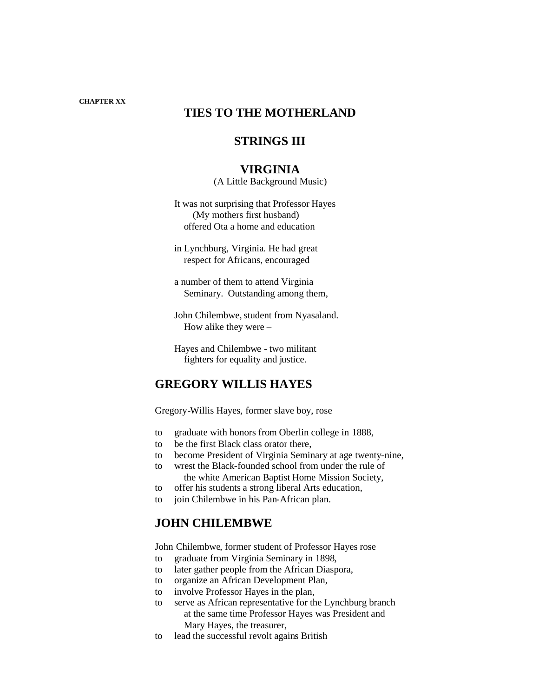## **TIES TO THE MOTHERLAND**

### **STRINGS III**

## **VIRGINIA**

(A Little Background Music)

It was not surprising that Professor Hayes (My mothers first husband) offered Ota a home and education

in Lynchburg, Virginia. He had great respect for Africans, encouraged

a number of them to attend Virginia Seminary. Outstanding among them,

John Chilembwe, student from Nyasaland. How alike they were –

Hayes and Chilembwe - two militant fighters for equality and justice.

## **GREGORY WILLIS HAYES**

Gregory-Willis Hayes, former slave boy, rose

- to graduate with honors from Oberlin college in 1888,
- to be the first Black class orator there,
- to become President of Virginia Seminary at age twenty-nine,
- to wrest the Black-founded school from under the rule of the white American Baptist Home Mission Society,
- to offer his students a strong liberal Arts education,
- to join Chilembwe in his Pan-African plan.

## **JOHN CHILEMBWE**

John Chilembwe, former student of Professor Hayes rose

- to graduate from Virginia Seminary in 1898,
- to later gather people from the African Diaspora,
- to organize an African Development Plan,
- to involve Professor Hayes in the plan,
- to serve as African representative for the Lynchburg branch at the same time Professor Hayes was President and Mary Hayes, the treasurer,
- to lead the successful revolt agains British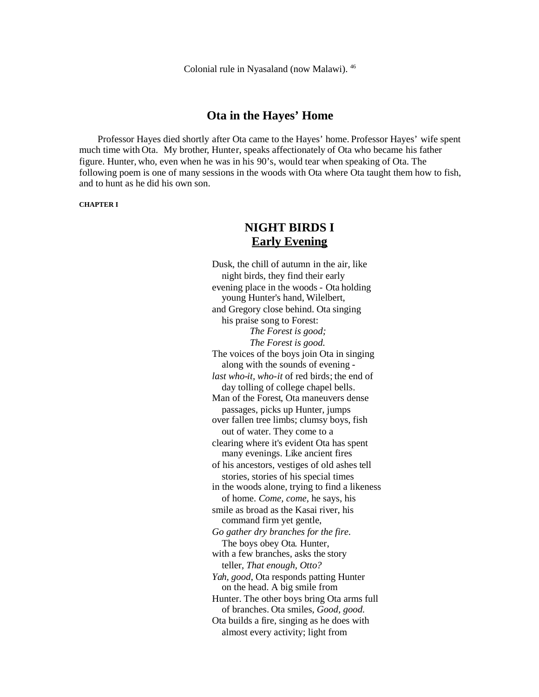### **Ota in the Hayes' Home**

Professor Hayes died shortly after Ota came to the Hayes' home. Professor Hayes' wife spent much time with Ota. My brother, Hunter, speaks affectionately of Ota who became his father figure. Hunter, who, even when he was in his 90's, would tear when speaking of Ota. The following poem is one of many sessions in the woods with Ota where Ota taught them how to fish, and to hunt as he did his own son.

#### **CHAPTER I**

# **NIGHT BIRDS I Early Evening**

Dusk, the chill of autumn in the air, like night birds, they find their early evening place in the woods - Ota holding young Hunter's hand, Wilelbert, and Gregory close behind. Ota singing his praise song to Forest: *The Forest is good; The Forest is good.* The voices of the boys join Ota in singing along with the sounds of evening *last who-it, who-it* of red birds; the end of day tolling of college chapel bells. Man of the Forest, Ota maneuvers dense passages, picks up Hunter, jumps over fallen tree limbs; clumsy boys, fish out of water. They come to a clearing where it's evident Ota has spent many evenings. Like ancient fires of his ancestors, vestiges of old ashes tell stories, stories of his special times in the woods alone, trying to find a likeness of home. *Come, come,* he says, his smile as broad as the Kasai river, his command firm yet gentle, *Go gather dry branches for the fire.* The boys obey Ota. Hunter, with a few branches, asks the story teller, *That enough, Otto? Yah, good*, Ota responds patting Hunter on the head. A big smile from Hunter. The other boys bring Ota arms full of branches. Ota smiles, *Good, good.* Ota builds a fire, singing as he does with almost every activity; light from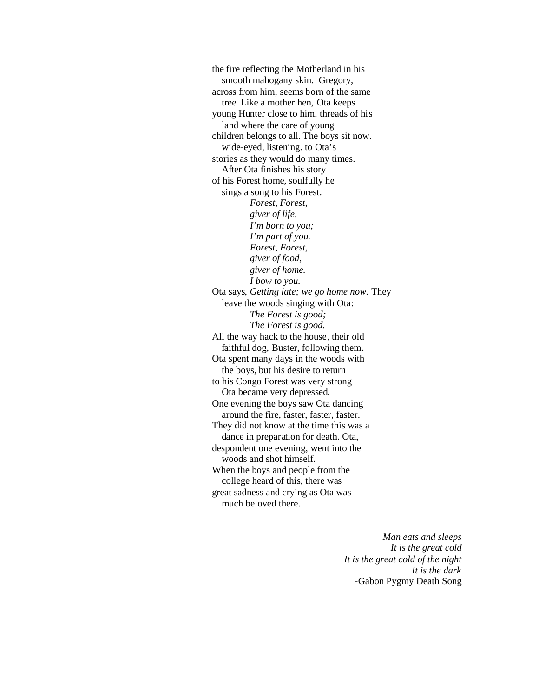the fire reflecting the Motherland in his smooth mahogany skin. Gregory, across from him, seems born of the same tree. Like a mother hen, Ota keeps young Hunter close to him, threads of his land where the care of young children belongs to all. The boys sit now. wide-eyed, listening. to Ota's stories as they would do many times. After Ota finishes his story of his Forest home, soulfully he sings a song to his Forest. *Forest, Forest, giver of life, I'm born to you; I'm part of you. Forest, Forest, giver of food, giver of home. I bow to you.* Ota says, *Getting late; we go home now.* They leave the woods singing with Ota: *The Forest is good; The Forest is good.* All the way hack to the house, their old faithful dog, Buster, following them. Ota spent many days in the woods with the boys, but his desire to return to his Congo Forest was very strong Ota became very depressed. One evening the boys saw Ota dancing around the fire, faster, faster, faster. They did not know at the time this was a dance in preparation for death. Ota, despondent one evening, went into the woods and shot himself. When the boys and people from the college heard of this, there was great sadness and crying as Ota was much beloved there.

> *Man eats and sleeps It is the great cold It is the great cold of the night It is the dark* -Gabon Pygmy Death Song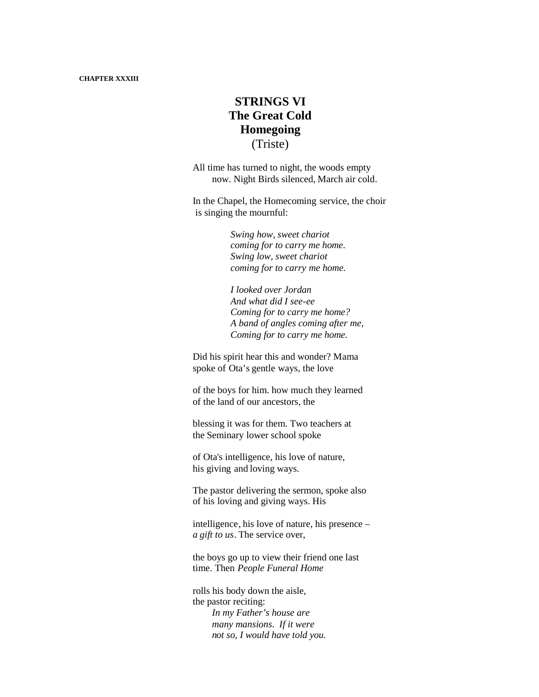#### **CHAPTER XXXIII**

# **STRINGS VI The Great Cold Homegoing** (Triste)

All time has turned to night, the woods empty now. Night Birds silenced, March air cold.

In the Chapel, the Homecoming service, the choir is singing the mournful:

> *Swing how, sweet chariot coming for to carry me home. Swing low, sweet chariot coming for to carry me home.*

*I looked over Jordan And what did I see-ee Coming for to carry me home? A band of angles coming after me, Coming for to carry me home.*

Did his spirit hear this and wonder? Mama spoke of Ota's gentle ways, the love

of the boys for him. how much they learned of the land of our ancestors, the

blessing it was for them. Two teachers at the Seminary lower school spoke

of Ota's intelligence, his love of nature, his giving and loving ways.

The pastor delivering the sermon, spoke also of his loving and giving ways. His

intelligence, his love of nature, his presence – *a gift to us*. The service over,

the boys go up to view their friend one last time. Then *People Funeral Home*

rolls his body down the aisle, the pastor reciting:

*In my Father's house are many mansions. If it were not so, I would have told you.*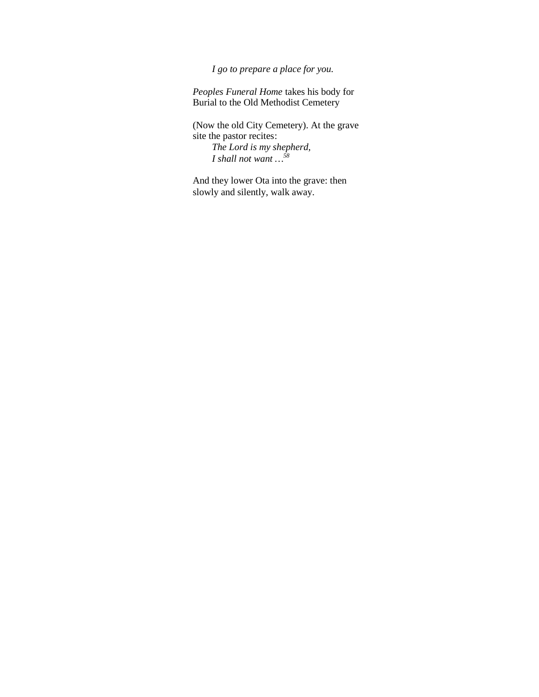*I go to prepare a place for you.*

*Peoples Funeral Home* takes his body for Burial to the Old Methodist Cemetery

(Now the old City Cemetery). At the grave site the pastor recites:

*The Lord is my shepherd, I shall not want …<sup>58</sup>*

And they lower Ota into the grave: then slowly and silently, walk away.